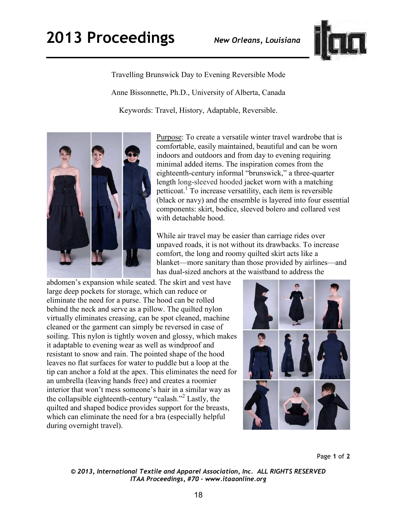

Travelling Brunswick Day to Evening Reversible Mode Anne Bissonnette, Ph.D., University of Alberta, Canada Keywords: Travel, History, Adaptable, Reversible.



Purpose: To create a versatile winter travel wardrobe that is comfortable, easily maintained, beautiful and can be worn indoors and outdoors and from day to evening requiring minimal added items. The inspiration comes from the eighteenth-century informal "brunswick," a three-quarter length long-sleeved hooded jacket worn with a matching petticoat.<sup>1</sup> To increase versatility, each item is reversible (black or navy) and the ensemble is layered into four essential components: skirt, bodice, sleeved bolero and collared vest with detachable hood.

While air travel may be easier than carriage rides over unpaved roads, it is not without its drawbacks. To increase comfort, the long and roomy quilted skirt acts like a blanket—more sanitary than those provided by airlines—and has dual-sized anchors at the waistband to address the

abdomen's expansion while seated. The skirt and vest have large deep pockets for storage, which can reduce or eliminate the need for a purse. The hood can be rolled behind the neck and serve as a pillow. The quilted nylon virtually eliminates creasing, can be spot cleaned, machine cleaned or the garment can simply be reversed in case of soiling. This nylon is tightly woven and glossy, which makes it adaptable to evening wear as well as windproof and resistant to snow and rain. The pointed shape of the hood leaves no flat surfaces for water to puddle but a loop at the tip can anchor a fold at the apex. This eliminates the need for an umbrella (leaving hands free) and creates a roomier interior that won't mess someone's hair in a similar way as the collapsible eighteenth-century "calash."<sup>2</sup> Lastly, the quilted and shaped bodice provides support for the breasts, which can eliminate the need for a bra (especially helpful during overnight travel).



Page **1** of **2** 

*© 2013, International Textile and Apparel Association, Inc. ALL RIGHTS RESERVED ITAA Proceedings, #70 – www.itaaonline.org*